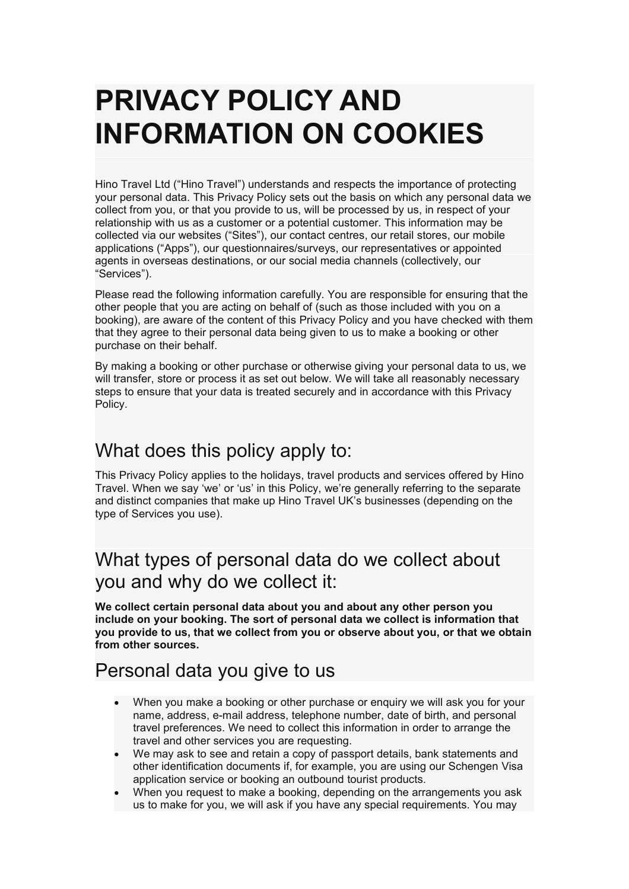# **PRIVACY POLICY AND INFORMATION ON COOKIES**

Hino Travel Ltd ("Hino Travel") understands and respects the importance of protecting your personal data. This Privacy Policy sets out the basis on which any personal data we collect from you, or that you provide to us, will be processed by us, in respect of your relationship with us as a customer or a potential customer. This information may be collected via our websites ("Sites"), our contact centres, our retail stores, our mobile applications ("Apps"), our questionnaires/surveys, our representatives or appointed agents in overseas destinations, or our social media channels (collectively, our "Services").

Please read the following information carefully. You are responsible for ensuring that the other people that you are acting on behalf of (such as those included with you on a booking), are aware of the content of this Privacy Policy and you have checked with them that they agree to their personal data being given to us to make a booking or other purchase on their behalf.

By making a booking or other purchase or otherwise giving your personal data to us, we will transfer, store or process it as set out below. We will take all reasonably necessary steps to ensure that your data is treated securely and in accordance with this Privacy Policy.

# What does this policy apply to:

This Privacy Policy applies to the holidays, travel products and services offered by Hino Travel. When we say 'we' or'us' in this Policy, we're generally referring to the separate and distinct companies that make up Hino Travel UK's businesses (depending on the type of Services you use).

# What types of personal data do we collect about you and why do we collect it:

**We collect certain personal data about you and about any other person you include on your booking. The sort of personal data we collect is information that you provide to us, that we collect from you or observe aboutyou, or that we obtain from other sources.**

#### Personal data you give to us

- When you make a booking or other purchase or enquiry we will ask you for your name, address, e-mail address, telephone number, date of birth, and personal travel preferences. We need to collect this information in order to arrange the travel and other services you are requesting.
- We may ask to see and retain a copy of passport details, bank statements and other identification documents if, for example, you are using our Schengen Visa application service or booking an outbound tourist products.
- When you request to make a booking, depending on the arrangements you ask us to make for you, we will ask if you have any special requirements. You may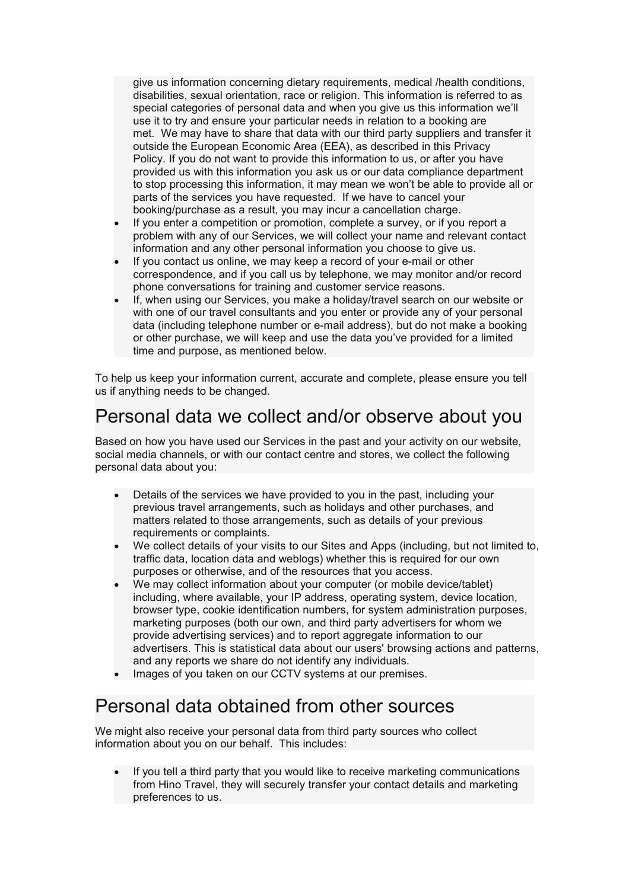give us information concerning dietary requirements, medical /health conditions, disabilities, sexual orientation, race or religion. This information is referred to as special categories of personal data and when you give us this information we'll use it to try and ensure your particular needs in relation to a booking are met. We may have to share that data with our third party suppliers and transfer it outside the European Economic Area (EEA), as described in this Privacy Policy. If you do not want to provide this information to us, or after you have provided us with this information you ask us or our data compliance department to stop processing this information, it may mean we won't be able to provide all or parts of the services you have requested. If we have to cancel your booking/purchase as a result, you may incur a cancellation charge.

- If you enter a competition or promotion, complete a survey, or if you report a problem with any of our Services, we will collect your name and relevant contact information and any other personal information you choose to give us.
- If you contact us online, we may keep a record of your e-mail or other correspondence, and if you call us by telephone, we may monitor and/or record phone conversations for training and customer service reasons.
- If, when using our Services, you make a holiday/travel search on our website or with one of our travel consultants and you enter or provide any of your personal data (including telephone number or e-mail address), but do not make a booking or other purchase, we will keep and use the data you've provided for a limited time and purpose, as mentioned below.

To help us keep your information current, accurate and complete, please ensure you tell us if anything needs to be changed.

### Personal data we collect and/or observe about you

Based on how you have used our Services in the past and your activity on our website, social media channels, or with our contact centre and stores, we collect the following personal data about you:

- Details of the services we have provided to you in the past, including your previous travel arrangements, such as holidays and other purchases, and matters related to those arrangements, such as details of your previous requirements or complaints.
- We collect details of your visits to our Sites and Apps (including, but not limited to, traffic data, location data and weblogs) whether this is required for our own purposes or otherwise, and of the resources that you access.
- We may collect information about your computer (or mobile device/tablet) including, where available, your IP address, operating system, device location, browser type, cookie identification numbers, for system administration purposes, marketing purposes (both our own, and third party advertisers for whom we provide advertising services) and to report aggregate information to our advertisers. This is statistical data about our users' browsing actions and patterns, and any reports we share do not identify any individuals.
- Images of you taken on our CCTV systems at our premises.

#### Personal data obtained from other sources

We might also receive your personal data from third party sources who collect information about you on our behalf. This includes:

 If you tell a third party that you would like to receive marketing communications from Hino Travel, they will securely transfer your contact details and marketing preferences to us.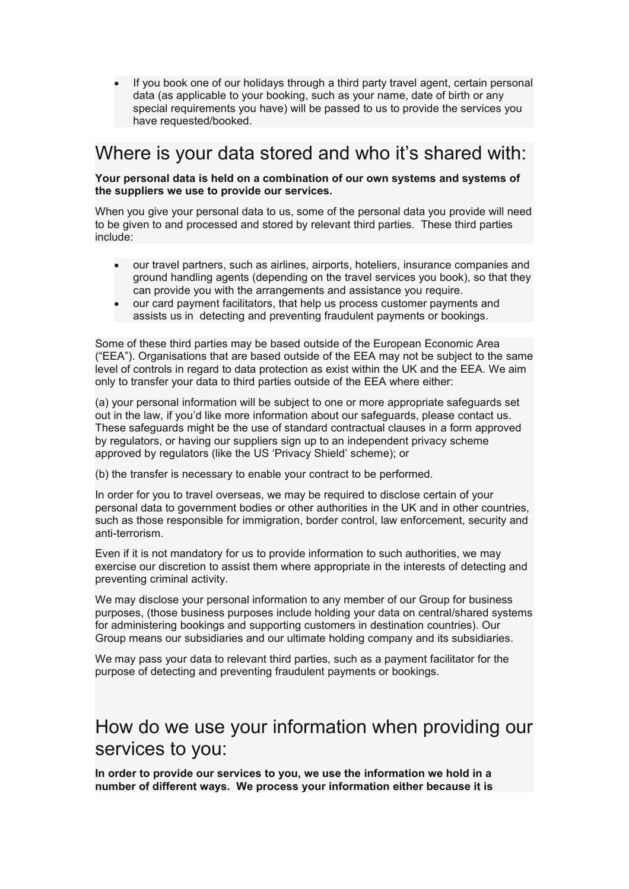If you book one of our holidays through a third party travel agent, certain personal data (as applicable to your booking, such as your name, date of birth or any special requirements you have) will be passed to us to provide the services you have requested/booked.

#### Where is your data stored and who it's shared with:

**Your personal data is held on a combination of our own systems and systems of the suppliers we use to provide our services.**

When you give your personal data to us, some of the personal data you provide will need to be given to and processed and stored by relevant third parties. These third parties include:

- our travel partners, such as airlines, airports, hoteliers, insurance companies and ground handling agents (depending on the travel services you book), so that they can provide you with the arrangements and assistance you require.
- our card payment facilitators, that help us process customer payments and assists us in detecting and preventing fraudulent payments or bookings.

Some of these third parties may be based outside of the European Economic Area ("EEA"). Organisations that are based outside of the EEA may not be subject to the same level of controls in regard to data protection as exist within the UK and the EEA. We aim only to transfer your data to third parties outside of the EEA where either:

(a) your personal information will be subject to one or more appropriate safeguards set out in the law, if you'd like more information about our safeguards, please contact us. These safeguards might be the use of standard contractual clauses in a form approved by regulators, or having our suppliers sign up to an independent privacy scheme approved by regulators (like the US 'Privacy Shield' scheme); or

(b) the transfer is necessary to enable your contract to be performed.

In order for you to travel overseas, we may be required to disclose certain of your personal data to government bodies or other authorities in the UK and in other countries, such as those responsible for immigration, border control, law enforcement, security and anti-terrorism.

Even if it is not mandatory for us to provide information to such authorities, we may exercise our discretion to assist them where appropriate in the interests of detecting and preventing criminal activity.

We may disclose your personal information to any member of our Group for business purposes, (those business purposes include holding your data on central/shared systems for administering bookings and supporting customers in destination countries). Our Group means our subsidiaries and our ultimate holding company and its subsidiaries.

We may pass your data to relevant third parties, such as a payment facilitator for the purpose of detecting and preventing fraudulent payments or bookings.

#### How do we use your information when providing our services to you:

**In order to provide our services to you, we use the information we hold in a number of different ways. We process your information either because it is**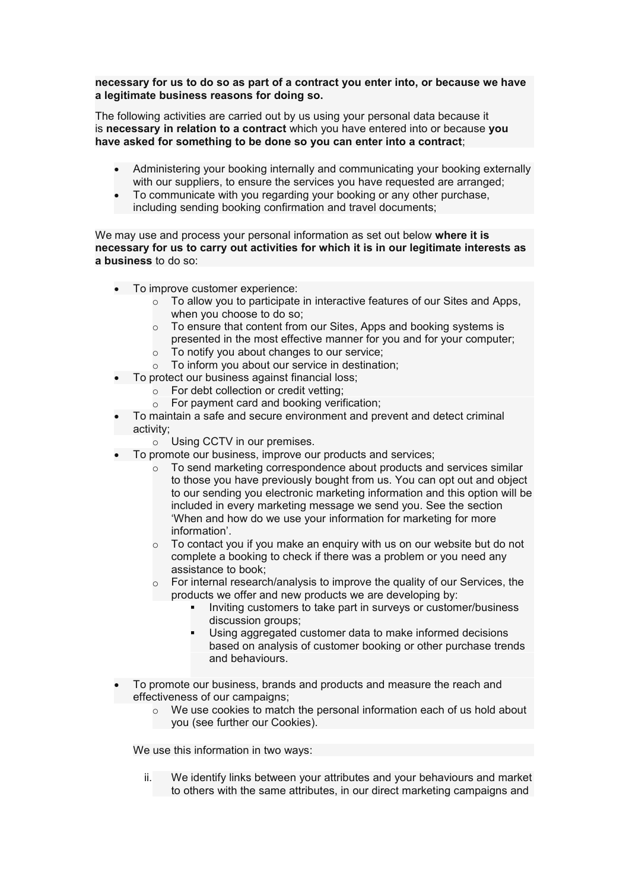#### **necessary for us to do so as part of a contract you enter into, or because we have a legitimate business reasons for doing so.**

The following activities are carried out by us using your personaldata because it is **necessary in relation to a contract**which you have entered into or because **you have asked for something to be done so you can enter into a contract**;

- Administering your booking internally and communicating your booking externally with our suppliers, to ensure the services you have requested are arranged;
- To communicate with you regarding your booking or any other purchase, including sending booking confirmation and travel documents;

We may use and process your personal information as set out below where it is **necessary for us to carry out activities for which it is in our legitimate interests as a business** to do so:

- To improve customer experience:
	- $\circ$  To allow you to participate in interactive features of our Sites and Apps, when you choose to do so;
	- $\circ$  To ensure that content from our Sites, Apps and booking systems is
	- presented in the most effective manner for you and for your computer;
	- $\circ$  To notify you about changes to our service;
	- $\circ$  To inform you about our service in destination:
- To protect our business against financial loss;
	- $\circ$  For debt collection or credit vetting;
	- $\circ$  For payment card and booking verification:
- To maintain a safe and secure environment and prevent and detect criminal activity;

o Using CCTV in our premises.

- To promote our business, improve our products and services;
	- $\circ$  To send marketing correspondence about products and services similar to those you have previously bought from us. You can opt out and object to our sending you electronic marketing information and this option will be included in every marketing message we send you. See the section 'When and how do we use your information for marketing for more information'.
	- $\circ$  To contact you if you make an enquiry with us on our website but do not complete a booking to check if there was a problem or you need any assistance to book;
	- o For internal research/analysis to improve the quality of our Services, the products we offer and new products we are developing by:
		- Inviting customers to take part in surveys or customer/business discussion groups;
		- Using aggregated customer data to make informed decisions based on analysis of customer booking or other purchase trends and behaviours.
- To promote our business, brands and products and measure the reach and effectiveness of our campaigns;
	- $\circ$  We use cookies to match the personal information each of us hold about you (see further our Cookies).

We use this information in two ways:

ii. We identify links between your attributes and your behaviours and market to others with the same attributes, in our direct marketing campaigns and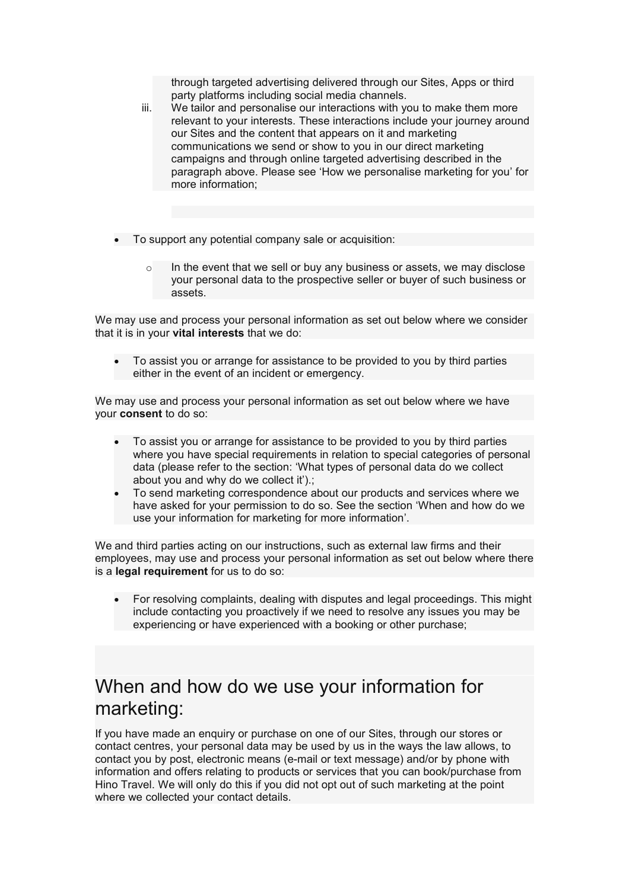through targeted advertising delivered through our Sites, Apps or third party platforms including social media channels.

- iii. We tailor and personalise our interactions with you to make them more relevant to your interests. These interactions include your journey around our Sites and the content that appears on it and marketing communications we send or show to you in our direct marketing campaigns and through online targeted advertising described in the paragraph above. Please see 'How we personalise marketing for you'for more information;
- To support any potential company sale or acquisition:
	- $\circ$  In the event that we sell or buy any business or assets, we may disclose your personal data to the prospective seller or buyer of such business or assets.

We may use and process your personal information as set out below where we consider that it is in your **vital interests** that we do:

 To assist you or arrange for assistance to be provided to you by third parties either in the event of an incident or emergency.

We may use and process your personal information as set out below where we have your **consent** to do so:

- To assist you or arrange for assistance to be provided to you by third parties where you have special requirements in relation to special categories of personal data (please refer to the section: 'What types of personal data do we collect about you and why do we collect it').;
- To send marketing correspondence about our products and services where we have asked for your permission to do so. See the section 'When and how do we use your information for marketing for more information'.

We and third parties acting on our instructions, such as external law firms and their employees, may use and process your personal information as set out below where there is a **legal requirement** for us to do so:

 For resolving complaints, dealing with disputes and legal proceedings. This might include contacting you proactively if we need to resolve any issues you may be experiencing or have experienced with a booking or other purchase;

# When and how do we use your information for marketing:

If you have made an enquiry or purchase on one of our Sites, through our stores or contact centres, your personal data may be used by us in the ways the law allows, to contact you by post, electronic means (e-mail or text message) and/or by phone with information and offers relating to products or services that you can book/purchase from Hino Travel. We will only do this if you did not opt out of such marketing at the point where we collected your contact details.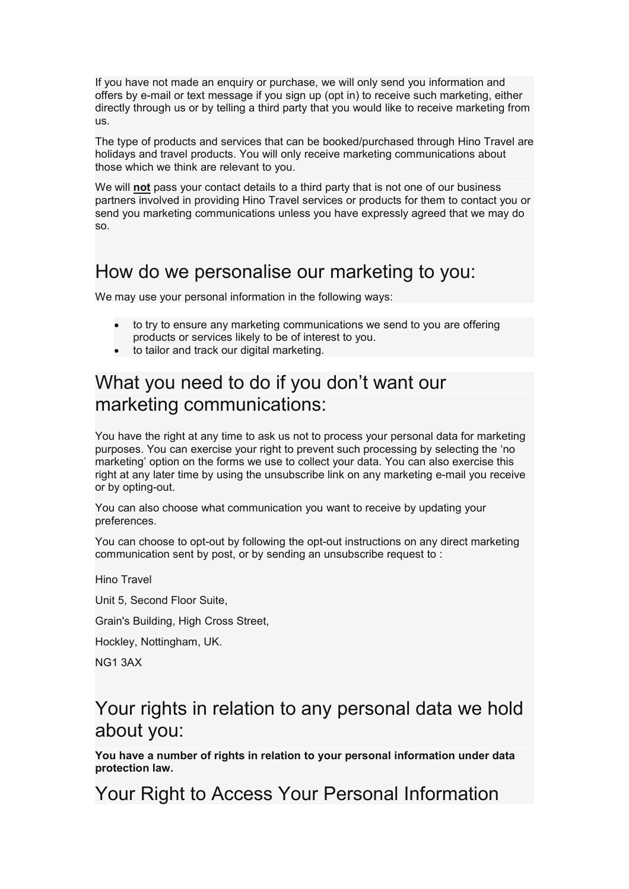If you have not made an enquiry or purchase, we will only send you information and offers by e-mail or text message if you sign up (opt in) to receive such marketing, either directly through us or by telling a third party that you would like to receive marketing from us.

The type of products and services that can be booked/purchased through Hino Travel are holidays and travel products. You will only receive marketing communications about those which we think are relevant to you.

We will **not** pass your contact details to a third party that is not one of our business partners involved in providing Hino Travel services or products for them to contact you or send you marketing communications unless you have expressly agreed that we may do so.

### How do we personalise our marketing to you:

We may use your personal information in the following ways:

- to try to ensure any marketing communications we send to you are offering products or services likely to be of interest to you.
- to tailor and track our digital marketing.

### What you need to do if you don't want our marketing communications:

You have the right at any time to ask us not to process your personal data for marketing purposes. You can exercise your right to prevent such processing by selecting the 'no marketing' option on the forms we use to collect your data. You can also exercise this right at any later time by using the unsubscribe link on any marketing e-mail you receive or by opting-out.

You can also choose what communication you want to receive by updating your preferences.

You can choose to opt-out by following the opt-out instructions on any direct marketing communication sent by post, or by sending an unsubscribe request to :

Hino Travel

Unit 5, Second Floor Suite,

Grain's Building, High Cross Street,

Hockley, Nottingham, UK.

NG1 3AX

#### Your rights in relation to any personal data we hold about you:

**You have a number of rights in relation to your personal information under data protection law.**

Your Right to Access Your Personal Information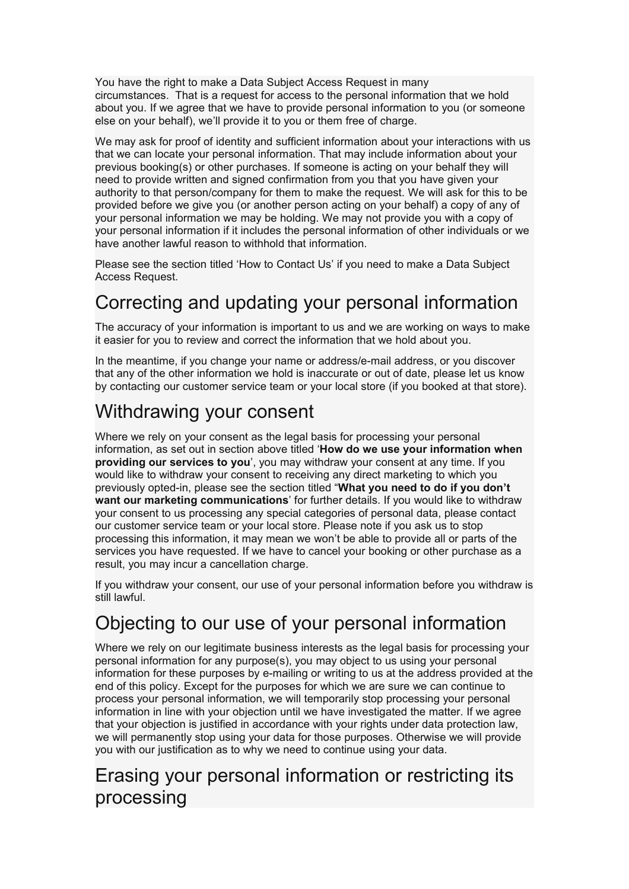You have the right to make a Data Subject Access Request in many circumstances. That is a request for access to the personal information that we hold about you. If we agree that we have to provide personal information to you (or someone else on your behalf), we'll provide it to you or them free of charge.

We may ask for proof of identity and sufficient information about your interactions with us that we can locate your personalinformation. That may include information about your previous booking(s) or other purchases. If someone is acting on your behalf they will need to provide written and signed confirmation from you that you have given your authority to that person/company for them to make the request. We will ask for this to be provided before we give you (or another person acting on your behalf) a copy of any of your personal information we may be holding. We may not provide you with a copy of your personal information if it includes the personal information of other individuals or we have another lawful reason to withhold that information.

Please see the section titled 'How to Contact Us' if you need to make a Data Subject Access Request.

# Correcting and updating your personal information

The accuracy of your information is important to us and we are working on ways to make it easier for you to review and correct the information that we hold about you.

In the meantime, if you change your name or address/e-mail address, or you discover that any of the other information we hold is inaccurate or out of date, please let us know by contacting our customer service team or your local store (if you booked at that store).

# Withdrawing your consent

Where we rely on your consent as the legal basis for processing your personal information, as set out in section above titled '**How do we use your information when providing our services to you**', you may withdraw your consent at any time. If you would like to withdraw your consent to receiving any direct marketing to which you previously opted-in,please see the section titled "**What you need to do if you don't want our marketing communications**' for further details. If you would like to withdraw your consent to us processing any special categories of personal data, please contact our customer service team or your local store. Please note if you ask us to stop processing this information, it may mean we won't be able to provide all or parts of the services you have requested. If we have to cancel your booking or other purchase as a result, you may incur a cancellation charge.

If you withdraw your consent, our use of your personal information before you withdraw is still lawful.

# Objecting to our use of your personal information

Where we rely on our legitimate business interests as the legal basis for processing your personal information for any purpose(s), you may object to us using your personal information for these purposes by e-mailing or writing to us at the address provided at the end of this policy. Except for the purposes for which we are sure we can continue to process your personal information, we will temporarily stop processing your personal information in line with your objection until we have investigated the matter. If we agree that your objection is justified in accordance with your rights under data protection law, we will permanently stop using your data for those purposes. Otherwise we will provide you with our justification as to why we need to continue using your data.

### Erasing your personal information or restricting its processing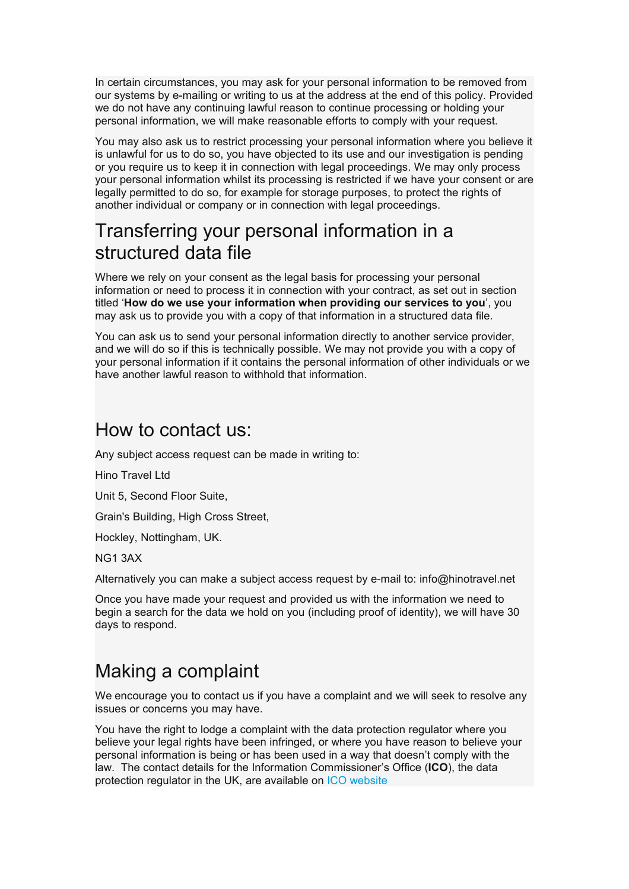In certain circumstances, you may ask for your personal information to be removed from our systems by e-mailing or writing to us at the address at the end of this policy. Provided we do not have any continuing lawful reason to continue processing or holding your personal information, we will make reasonable efforts to comply with your request.

You may also ask us to restrict processing your personal information where you believe it is unlawful for us to do so, you have objected to its use and our investigation is pending or you require us to keep it in connection with legal proceedings. We may only process your personal information whilst its processing is restricted if we have your consent or are legally permitted to do so, for example for storage purposes, to protect the rights of another individual or company or in connection with legal proceedings.

### Transferring your personal information in a structured data file

Where we rely on your consent as the legal basis for processing your personal information or need to process it in connection with your contract, as set out in section titled '**How do we use your information when providing our services to you**', you may ask us to provide you with a copy of that information in a structured data file.

You can ask us to send your personal information directly to another service provider, and we will do so if this is technically possible. We may not provide you with a copy of your personal information if it contains the personal information of other individuals or we have another lawful reason to withhold that information.

#### How to contact us:

Any subject access request can be made in writing to:

Hino Travel Ltd

Unit 5, Second Floor Suite,

Grain's Building, High Cross Street,

Hockley, Nottingham, UK.

NG1 3AX

Alternatively you can make a subject access request by e-mail to: info@hinotravel.net

Once you have made your request and provided us with the information we need to begin a search for the data we hold on you (including proof of identity), we will have 30 days to respond.

# Making a complaint

We encourage you to contact us if you have a complaint and we will seek to resolve any issues or concerns you may have.

You have the right to lodge a complaint with the data protection regulatorwhere you believe your legal rights have been infringed, or where you have reason to believe your personal information isbeing or has been used in a way that doesn't comply with the law. The contact details for the Information Commissioner's Office (**ICO**), the data protection regulator in the UK, are available on ICO website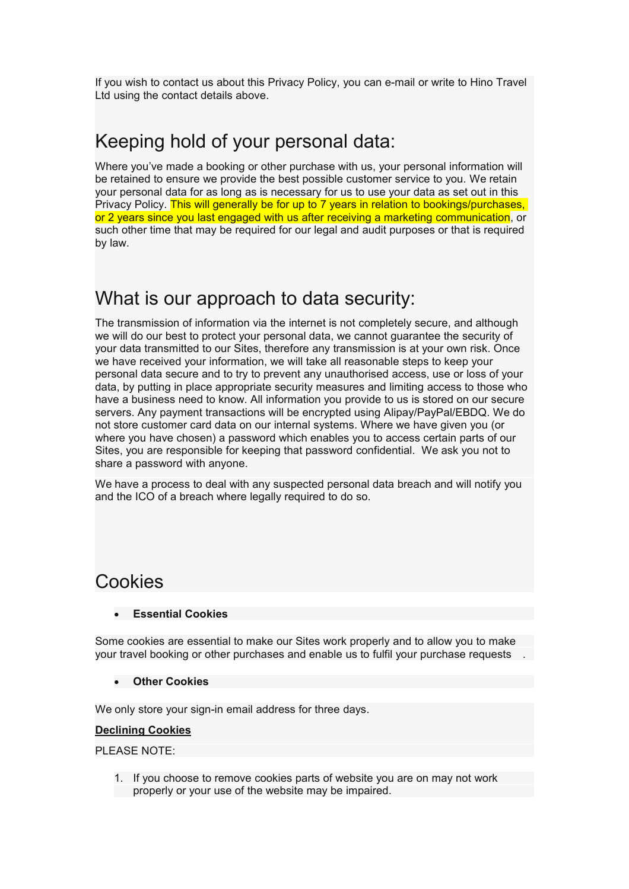If you wish to contact us about this Privacy Policy, you can e-mail or write to Hino Travel Ltd using the contact details above.

# Keeping hold of your personal data:

Where you've made a booking or other purchase with us, your personal information will be retained to ensure we provide the best possible customer service to you. We retain your personal data for as long as is necessary for us to use your data as set out in this Privacy Policy. This will generally be for up to 7 years in relation to bookings/purchases, or 2 years since you last engaged with us after receiving a marketing communication, or such other time that may be required for our legal and audit purposes or that is required by law.

#### What is our approach to data security:

The transmission of information via the internet is not completely secure, and although we will do our best to protect your personal data, we cannot guarantee the security of your data transmitted to our Sites, therefore any transmission is at your own risk. Once we have received your information, we will take all reasonable steps to keep your personal data secure and to try to prevent any unauthorised access, use or loss of your data, by putting in place appropriate security measures and limiting access to those who have a business need to know. All information you provide to us is stored on our secure servers. Any payment transactions will be encrypted using Alipay/PayPal/EBDQ. We do not store customer card data on our internal systems. Where we have given you (or where you have chosen) a password which enables you to access certain parts of our Sites, you are responsible for keeping that password confidential. We ask you not to share a password with anyone.

We have a process to deal with any suspected personal data breach and will notify you and the ICO of a breach where legally required to do so.

#### **Cookies**

#### **Essential Cookies**

Some cookies are essential to make our Sites work properly and to allow you to make your travel booking or other purchases and enable us to fulfil your purchase requests .

#### **Other Cookies**

We only store your sign-in email address for three days.

#### **Declining Cookies**

PLEASE NOTE:

1. If you choose to remove cookies parts of website you are on may notwork properly or your use of the website may be impaired.